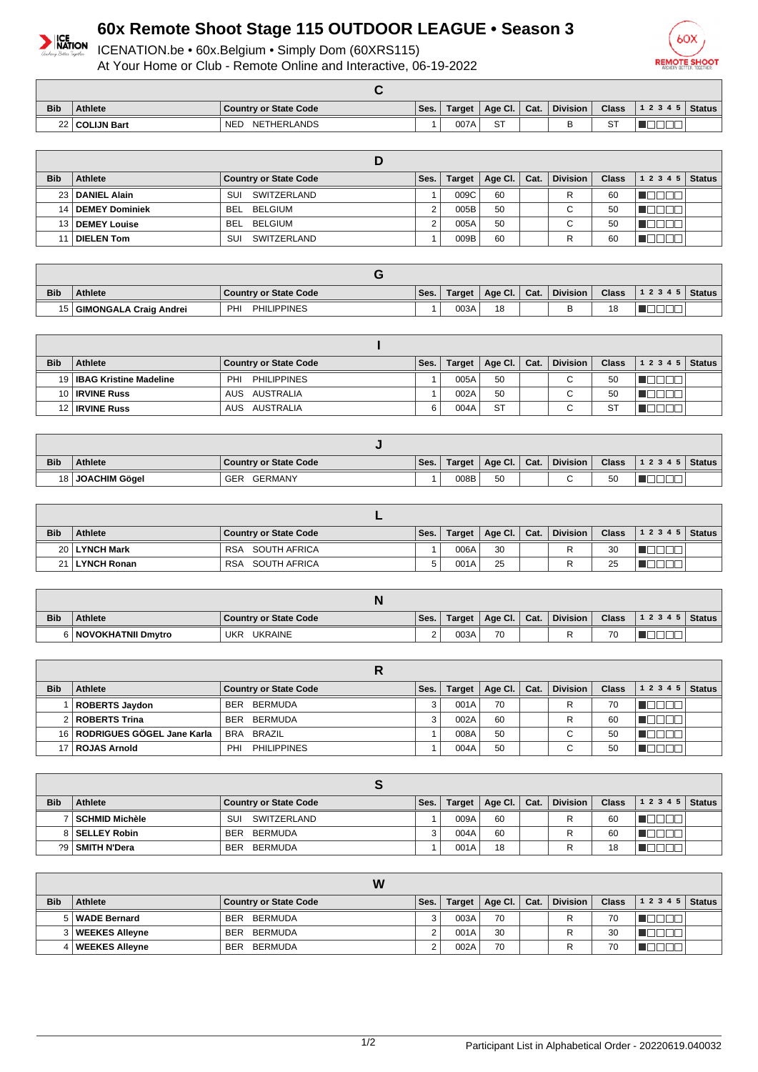

## **60x Remote Shoot Stage 115 OUTDOOR LEAGUE • Season 3**

ICENATION.be • 60x.Belgium • Simply Dom (60XRS115) At Your Home or Club - Remote Online and Interactive, 06-19-2022



| <b>Bib</b> | <b>Athlete</b>   | <b>Country or State Code</b> | Ses. | Target | Age Cl.   Cat. | <b>Division</b> | <b>Class</b> | $ 1\;2\;3\;4\;5 $ Status |  |
|------------|------------------|------------------------------|------|--------|----------------|-----------------|--------------|--------------------------|--|
|            | 22   COLIJN Bart | <b>NED</b><br>NETHERLANDS    |      | 007A   | ST             | -               | ST           |                          |  |

| <b>Bib</b> | Athlete             | <b>Country or State Code</b> | Ses. | Target | Age Cl. $ $ | Cat. | <b>Division</b> | <b>Class</b> | 12345 | <b>Status</b> |
|------------|---------------------|------------------------------|------|--------|-------------|------|-----------------|--------------|-------|---------------|
|            | 23   DANIEL Alain   | SUI<br>SWITZERLAND           |      | 009C   | 60          |      | R               | 60           |       |               |
|            | 14   DEMEY Dominiek | BEL BELGIUM                  | 2    | 005B   | 50          |      | C.              | 50           |       |               |
|            | 13   DEMEY Louise   | BELGIUM<br><b>BEL</b>        |      | 005A   | 50          |      | С               | 50           |       |               |
|            | <b>DIELEN Tom</b>   | SWITZERLAND<br>SUI           |      | 009B   | 60          |      |                 | 60           |       |               |

| <b>Bib</b> | <b>Athlete</b>         | <b>Country or State Code</b> | Ses. | Target | Age Cl. | Cat. | <b>Division</b> | <b>Class</b> | 12345 | <b>Status</b> |
|------------|------------------------|------------------------------|------|--------|---------|------|-----------------|--------------|-------|---------------|
| 15 I       | GIMONGALA Craig Andrei | PHI<br><b>PHILIPPINES</b>    |      | 003A   | 18      |      |                 | 18           |       |               |

| <b>Bib</b> | Athlete                     | <b>Country or State Code</b> | Ses. | <b>Target</b> | Age Cl. $\vert$ Cat. | Division    | <b>Class</b> | 12345 | <b>Status</b> |
|------------|-----------------------------|------------------------------|------|---------------|----------------------|-------------|--------------|-------|---------------|
|            | 19   IBAG Kristine Madeline | <b>PHILIPPINES</b><br>PHI    |      | 005A          | 50                   | $\sim$<br>U | 50           |       |               |
|            | 10 <b>IRVINE Russ</b>       | AUS AUSTRALIA                |      | 002A          | 50                   | $\sim$<br>◡ | 50           |       |               |
|            | 12   IRVINE Russ            | AUS AUSTRALIA                | ี    | 004A          | <b>ST</b>            | $\sim$<br>ັ | $\sim$<br>১  |       |               |

| <b>Bib</b> | <b>Athlete</b>   | Country or State Code | Ses. | Target | Age Cl. | Cat. | <b>Division</b> | <b>Class</b> | 12345 | <b>Status</b> |
|------------|------------------|-----------------------|------|--------|---------|------|-----------------|--------------|-------|---------------|
|            | 18 JOACHIM Gögel | GERMANY<br>GER        |      | 008B   | 50      |      |                 | 50           |       |               |

| <b>Bib</b> | Athlete         | <b>Country or State Code</b> | Ses. | Target | Age Cl. | $\vert$ Cat. | <b>Division</b> | Class | $ 12345 $ Status |  |
|------------|-----------------|------------------------------|------|--------|---------|--------------|-----------------|-------|------------------|--|
|            | 20   LYNCH Mark | <b>RSA</b><br>SOUTH AFRICA   |      | 006A   | 30      |              | D               | 30    |                  |  |
| 21         | ∣∣LYNCH Ronan   | SOUTH AFRICA<br><b>RSA</b>   |      | 001A   | 25      |              |                 | 25    |                  |  |

| <b>Bib</b> | <b>Athlete</b>         | <b>Country or State Code</b> | Ses. | <b>Target</b> | Age CI. | Cat. | <b>Division</b> | <b>Class</b> | 12345 | <b>Status</b> |
|------------|------------------------|------------------------------|------|---------------|---------|------|-----------------|--------------|-------|---------------|
|            | 6   NOVOKHATNII Dmytro | <b>UKRAINE</b><br>UKR        |      | 003A          | 70      |      |                 | 70<br>v      |       |               |

| <b>Bib</b> | Age Cl.   Cat.<br><b>Division</b><br><b>Class</b><br>Athlete<br>12345<br><b>Country or State Code</b><br>Ses.<br>Target, |                                  |  |      |    |  |             |    |  |  |
|------------|--------------------------------------------------------------------------------------------------------------------------|----------------------------------|--|------|----|--|-------------|----|--|--|
|            | ROBERTS Jaydon                                                                                                           | BERMUDA<br><b>BER</b>            |  | 001A | 70 |  | R           | 70 |  |  |
|            | 2   ROBERTS Trina                                                                                                        | BERMUDA<br><b>BER</b>            |  | 002A | 60 |  | R           | 60 |  |  |
|            | 16   RODRIGUES GÖGEL Jane Karla                                                                                          | BRA BRAZIL                       |  | 008A | 50 |  | $\sim$<br>U | 50 |  |  |
|            | 17   ROJAS Arnold                                                                                                        | <b>PHILIPPINES</b><br><b>PHI</b> |  | 004A | 50 |  | $\sim$<br>ັ | 50 |  |  |

| <b>Bib</b> | <b>Athlete</b>   | <b>Country or State Code</b> | Ses. | Target | Age Cl.   Cat. |  | Division | <b>Class</b> | $12345$ Status |  |  |  |
|------------|------------------|------------------------------|------|--------|----------------|--|----------|--------------|----------------|--|--|--|
|            | SCHMID Michèle   | SUI<br>SWITZERLAND           |      | 009A   | 60             |  |          | 60           |                |  |  |  |
|            | 8   SELLEY Robin | BERMUDA<br><b>BER</b>        |      | 004A   | 60             |  |          | 60           |                |  |  |  |
|            | ?9 SMITH N'Dera  | BERMUDA<br>BER               |      | 001A   | 18             |  |          | 18           |                |  |  |  |

|            | W                  |                       |      |        |              |  |                 |              |           |               |  |  |
|------------|--------------------|-----------------------|------|--------|--------------|--|-----------------|--------------|-----------|---------------|--|--|
| <b>Bib</b> | Athlete            | Country or State Code | Ses. | Target | Age Cl. Cat. |  | <b>Division</b> | <b>Class</b> | 1 2 3 4 5 | <b>Status</b> |  |  |
|            | 5   WADE Bernard   | BERMUDA<br><b>BER</b> |      | 003A   | 70           |  |                 | 70           |           |               |  |  |
|            | 3   WEEKES Alleyne | BERMUDA<br>BER        |      | 001A   | 30           |  | D               | 30           |           |               |  |  |
|            | 4   WEEKES Allevne | BERMUDA<br><b>BER</b> |      | 002A   | 70           |  |                 | 70           |           |               |  |  |